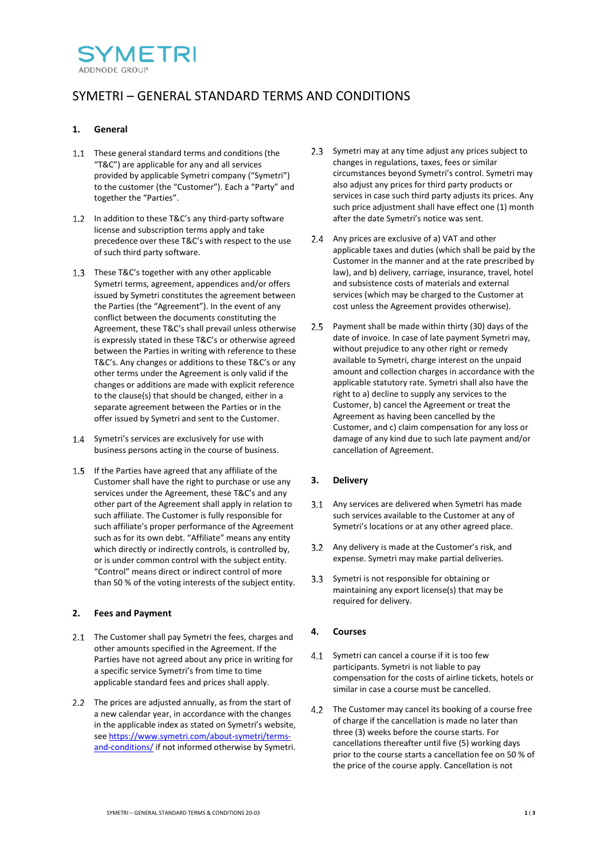

# SYMETRI – GENERAL STANDARD TERMS AND CONDITIONS

## **1. General**

- 1.1 These general standard terms and conditions (the "T&C") are applicable for any and all services provided by applicable Symetri company ("Symetri") to the customer (the "Customer"). Each a "Party" and together the "Parties".
- 1.2 In addition to these T&C's any third-party software license and subscription terms apply and take precedence over these T&C's with respect to the use of such third party software.
- 1.3 These T&C's together with any other applicable Symetri terms, agreement, appendices and/or offers issued by Symetri constitutes the agreement between the Parties (the "Agreement"). In the event of any conflict between the documents constituting the Agreement, these T&C's shall prevail unless otherwise is expressly stated in these T&C's or otherwise agreed between the Parties in writing with reference to these T&C's. Any changes or additions to these T&C's or any other terms under the Agreement is only valid if the changes or additions are made with explicit reference to the clause(s) that should be changed, either in a separate agreement between the Parties or in the offer issued by Symetri and sent to the Customer.
- 1.4 Symetri's services are exclusively for use with business persons acting in the course of business.
- If the Parties have agreed that any affiliate of the Customer shall have the right to purchase or use any services under the Agreement, these T&C's and any other part of the Agreement shall apply in relation to such affiliate. The Customer is fully responsible for such affiliate's proper performance of the Agreement such as for its own debt. "Affiliate" means any entity which directly or indirectly controls, is controlled by, or is under common control with the subject entity. "Control" means direct or indirect control of more than 50 % of the voting interests of the subject entity.

### **2. Fees and Payment**

- 2.1 The Customer shall pay Symetri the fees, charges and other amounts specified in the Agreement. If the Parties have not agreed about any price in writing for a specific service Symetri's from time to time applicable standard fees and prices shall apply.
- 2.2 The prices are adjusted annually, as from the start of a new calendar year, in accordance with the changes in the applicable index as stated on Symetri's website, se[e https://www.symetri.com/about-symetri/terms](https://www.symetri.com/about-symetri/terms-and-conditions/)[and-conditions/](https://www.symetri.com/about-symetri/terms-and-conditions/) if not informed otherwise by Symetri.
- 2.3 Symetri may at any time adjust any prices subject to changes in regulations, taxes, fees or similar circumstances beyond Symetri's control. Symetri may also adjust any prices for third party products or services in case such third party adjusts its prices. Any such price adjustment shall have effect one (1) month after the date Symetri's notice was sent.
- 2.4 Any prices are exclusive of a) VAT and other applicable taxes and duties (which shall be paid by the Customer in the manner and at the rate prescribed by law), and b) delivery, carriage, insurance, travel, hotel and subsistence costs of materials and external services (which may be charged to the Customer at cost unless the Agreement provides otherwise).
- 2.5 Payment shall be made within thirty (30) days of the date of invoice. In case of late payment Symetri may, without prejudice to any other right or remedy available to Symetri, charge interest on the unpaid amount and collection charges in accordance with the applicable statutory rate. Symetri shall also have the right to a) decline to supply any services to the Customer, b) cancel the Agreement or treat the Agreement as having been cancelled by the Customer, and c) claim compensation for any loss or damage of any kind due to such late payment and/or cancellation of Agreement.

# **3. Delivery**

- 3.1 Any services are delivered when Symetri has made such services available to the Customer at any of Symetri's locations or at any other agreed place.
- Any delivery is made at the Customer's risk, and expense. Symetri may make partial deliveries.
- 3.3 Symetri is not responsible for obtaining or maintaining any export license(s) that may be required for delivery.

# **4. Courses**

- 4.1 Symetri can cancel a course if it is too few participants. Symetri is not liable to pay compensation for the costs of airline tickets, hotels or similar in case a course must be cancelled.
- 4.2 The Customer may cancel its booking of a course free of charge if the cancellation is made no later than three (3) weeks before the course starts. For cancellations thereafter until five (5) working days prior to the course starts a cancellation fee on 50 % of the price of the course apply. Cancellation is not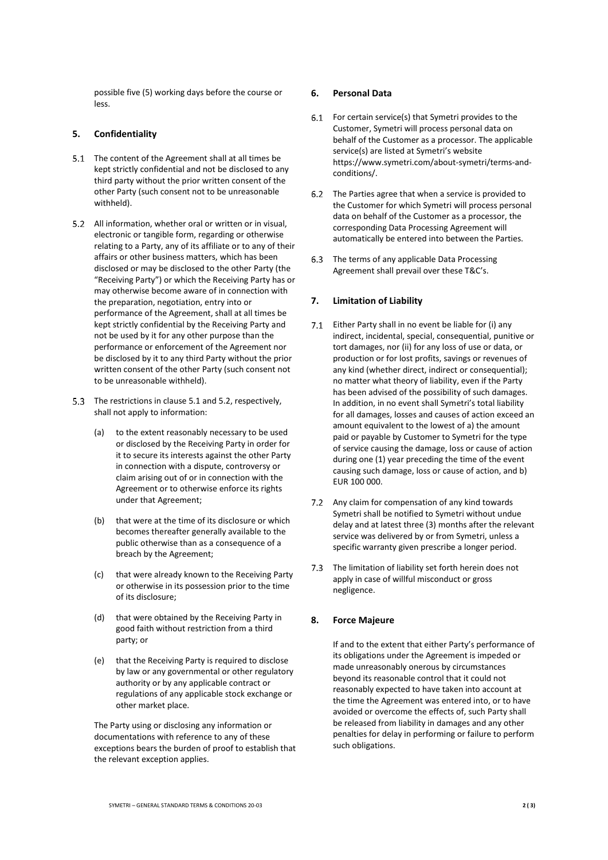possible five (5) working days before the course or less.

## <span id="page-1-2"></span>**5. Confidentiality**

- <span id="page-1-0"></span>5.1 The content of the Agreement shall at all times be kept strictly confidential and not be disclosed to any third party without the prior written consent of the other Party (such consent not to be unreasonable withheld).
- <span id="page-1-1"></span>5.2 All information, whether oral or written or in visual, electronic or tangible form, regarding or otherwise relating to a Party, any of its affiliate or to any of their affairs or other business matters, which has been disclosed or may be disclosed to the other Party (the "Receiving Party") or which the Receiving Party has or may otherwise become aware of in connection with the preparation, negotiation, entry into or performance of the Agreement, shall at all times be kept strictly confidential by the Receiving Party and not be used by it for any other purpose than the performance or enforcement of the Agreement nor be disclosed by it to any third Party without the prior written consent of the other Party (such consent not to be unreasonable withheld).
- 5.3 The restrictions in clause [5.1](#page-1-0) and [5.2,](#page-1-1) respectively, shall not apply to information:
	- (a) to the extent reasonably necessary to be used or disclosed by the Receiving Party in order for it to secure its interests against the other Party in connection with a dispute, controversy or claim arising out of or in connection with the Agreement or to otherwise enforce its rights under that Agreement;
	- (b) that were at the time of its disclosure or which becomes thereafter generally available to the public otherwise than as a consequence of a breach by the Agreement;
	- (c) that were already known to the Receiving Party or otherwise in its possession prior to the time of its disclosure;
	- (d) that were obtained by the Receiving Party in good faith without restriction from a third party; or
	- (e) that the Receiving Party is required to disclose by law or any governmental or other regulatory authority or by any applicable contract or regulations of any applicable stock exchange or other market place.

The Party using or disclosing any information or documentations with reference to any of these exceptions bears the burden of proof to establish that the relevant exception applies.

## **6. Personal Data**

- 6.1 For certain service(s) that Symetri provides to the Customer, Symetri will process personal data on behalf of the Customer as a processor. The applicable service(s) are listed at Symetri's website https://www.symetri.com/about-symetri/terms-andconditions/.
- 6.2 The Parties agree that when a service is provided to the Customer for which Symetri will process personal data on behalf of the Customer as a processor, the corresponding Data Processing Agreement will automatically be entered into between the Parties.
- 6.3 The terms of any applicable Data Processing Agreement shall prevail over these T&C's.

# <span id="page-1-3"></span>**7. Limitation of Liability**

- 7.1 Either Party shall in no event be liable for (i) any indirect, incidental, special, consequential, punitive or tort damages, nor (ii) for any loss of use or data, or production or for lost profits, savings or revenues of any kind (whether direct, indirect or consequential); no matter what theory of liability, even if the Party has been advised of the possibility of such damages. In addition, in no event shall Symetri's total liability for all damages, losses and causes of action exceed an amount equivalent to the lowest of a) the amount paid or payable by Customer to Symetri for the type of service causing the damage, loss or cause of action during one (1) year preceding the time of the event causing such damage, loss or cause of action, and b) EUR 100 000.
- 7.2 Any claim for compensation of any kind towards Symetri shall be notified to Symetri without undue delay and at latest three (3) months after the relevant service was delivered by or from Symetri, unless a specific warranty given prescribe a longer period.
- 7.3 The limitation of liability set forth herein does not apply in case of willful misconduct or gross negligence.

# **8. Force Majeure**

If and to the extent that either Party's performance of its obligations under the Agreement is impeded or made unreasonably onerous by circumstances beyond its reasonable control that it could not reasonably expected to have taken into account at the time the Agreement was entered into, or to have avoided or overcome the effects of, such Party shall be released from liability in damages and any other penalties for delay in performing or failure to perform such obligations.